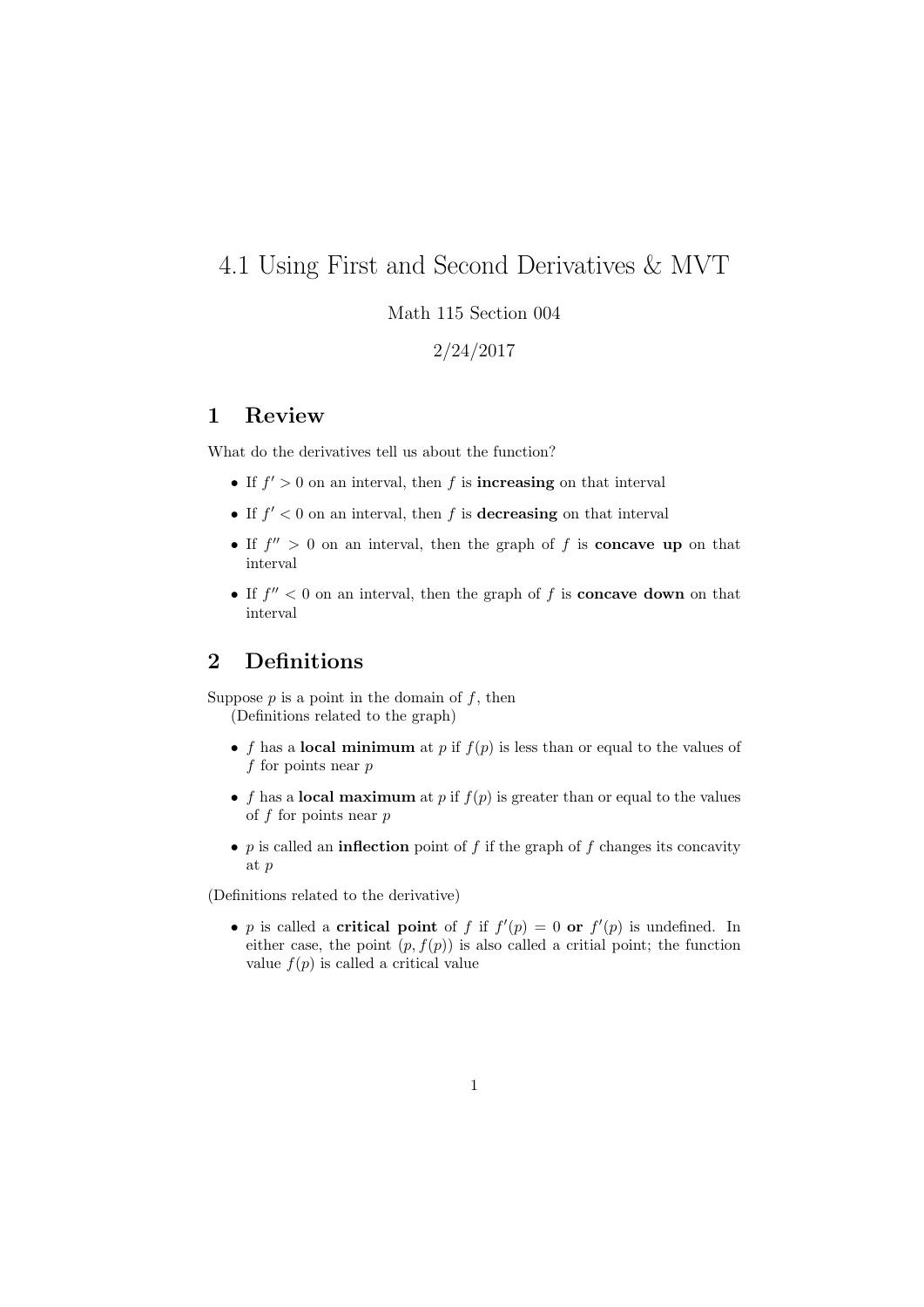## 4.1 Using First and Second Derivatives & MVT

#### Math 115 Section 004

2/24/2017

#### 1 Review

What do the derivatives tell us about the function?

- If  $f' > 0$  on an interval, then f is **increasing** on that interval
- If  $f' < 0$  on an interval, then f is **decreasing** on that interval
- If  $f'' > 0$  on an interval, then the graph of f is **concave up** on that interval
- If  $f'' < 0$  on an interval, then the graph of f is **concave down** on that interval

### 2 Definitions

Suppose  $p$  is a point in the domain of  $f$ , then (Definitions related to the graph)

- f has a local minimum at p if  $f(p)$  is less than or equal to the values of f for points near  $p$
- f has a **local maximum** at p if  $f(p)$  is greater than or equal to the values of  $f$  for points near  $p$
- p is called an **inflection** point of f if the graph of f changes its concavity at p

(Definitions related to the derivative)

• p is called a **critical point** of f if  $f'(p) = 0$  or  $f'(p)$  is undefined. In either case, the point  $(p, f(p))$  is also called a critial point; the function value  $f(p)$  is called a critical value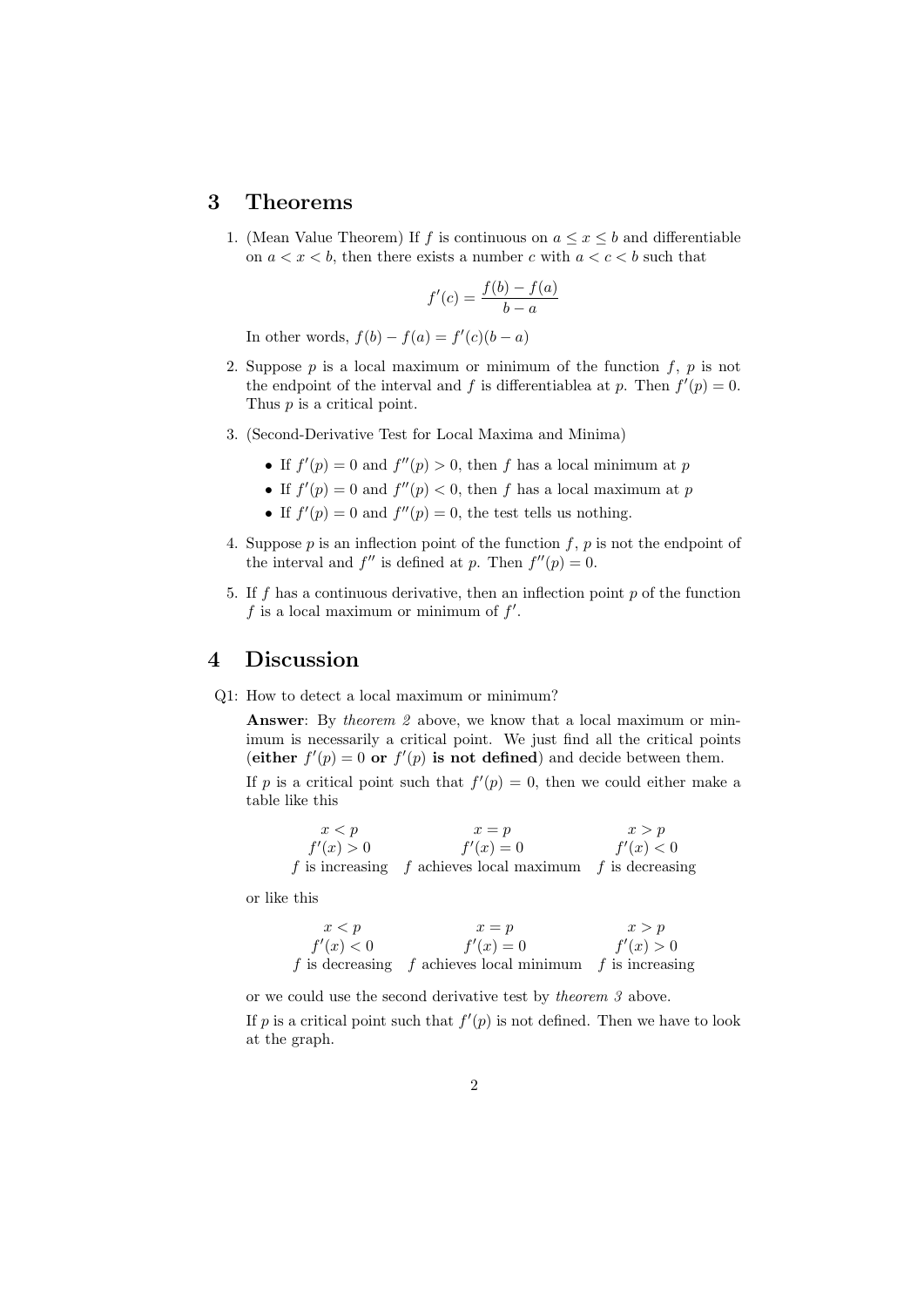#### 3 Theorems

1. (Mean Value Theorem) If f is continuous on  $a \leq x \leq b$  and differentiable on  $a < x < b$ , then there exists a number c with  $a < c < b$  such that

$$
f'(c) = \frac{f(b) - f(a)}{b - a}
$$

In other words,  $f(b) - f(a) = f'(c)(b - a)$ 

- 2. Suppose  $p$  is a local maximum or minimum of the function  $f, p$  is not the endpoint of the interval and f is differentiablea at p. Then  $f'(p) = 0$ . Thus *p* is a critical point.
- 3. (Second-Derivative Test for Local Maxima and Minima)
	- If  $f'(p) = 0$  and  $f''(p) > 0$ , then f has a local minimum at p
	- If  $f'(p) = 0$  and  $f''(p) < 0$ , then f has a local maximum at p
	- If  $f'(p) = 0$  and  $f''(p) = 0$ , the test tells us nothing.
- 4. Suppose p is an inflection point of the function f, p is not the endpoint of the interval and  $f''$  is defined at p. Then  $f''(p) = 0$ .
- 5. If f has a continuous derivative, then an inflection point  $p$  of the function  $f$  is a local maximum or minimum of  $f'$ .

#### 4 Discussion

Q1: How to detect a local maximum or minimum?

Answer: By theorem 2 above, we know that a local maximum or minimum is necessarily a critical point. We just find all the critical points (either  $f'(p) = 0$  or  $f'(p)$  is not defined) and decide between them.

If p is a critical point such that  $f'(p) = 0$ , then we could either make a table like this

$$
x < p \qquad x = p \qquad x > p
$$
  
\n
$$
f'(x) > 0 \qquad f'(x) = 0 \qquad f'(x) < 0
$$
  
\n*f* is increasing *f* achieves local maximum *f* is decreasing

or like this

$$
x < p \qquad x = p \qquad x > p
$$
  
\n
$$
f'(x) < 0 \qquad f'(x) = 0 \qquad f'(x) > 0
$$
  
\n*f* is decreasing *f* achieves local minimum *f* is increasing

or we could use the second derivative test by theorem 3 above.

If p is a critical point such that  $f'(p)$  is not defined. Then we have to look at the graph.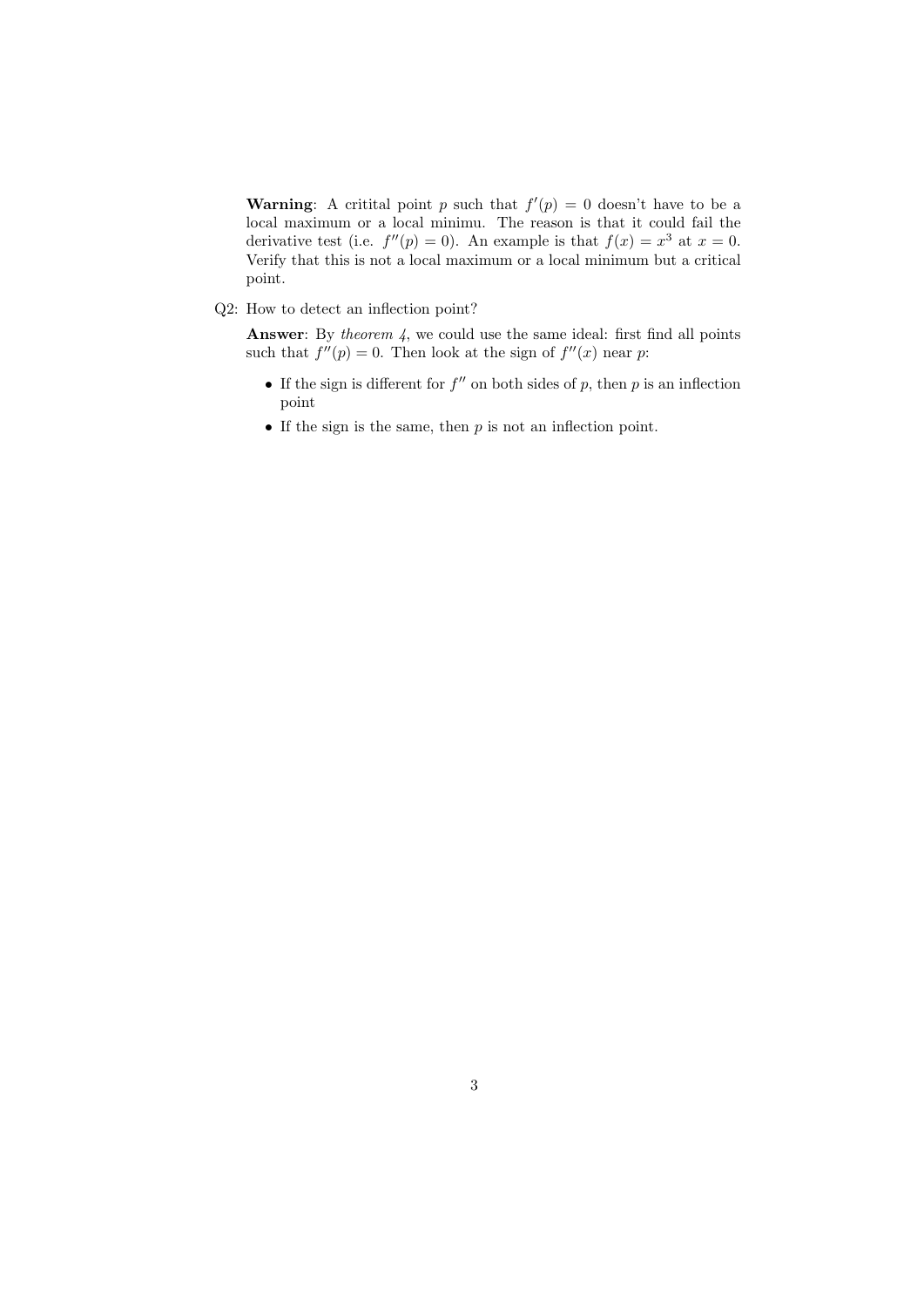**Warning:** A critital point p such that  $f'(p) = 0$  doesn't have to be a local maximum or a local minimu. The reason is that it could fail the derivative test (i.e.  $f''(p) = 0$ ). An example is that  $f(x) = x^3$  at  $x = 0$ . Verify that this is not a local maximum or a local minimum but a critical point.

Q2: How to detect an inflection point?

**Answer:** By theorem  $\lambda$ , we could use the same ideal: first find all points such that  $f''(p) = 0$ . Then look at the sign of  $f''(x)$  near p:

- If the sign is different for  $f''$  on both sides of p, then p is an inflection point
- If the sign is the same, then  $p$  is not an inflection point.